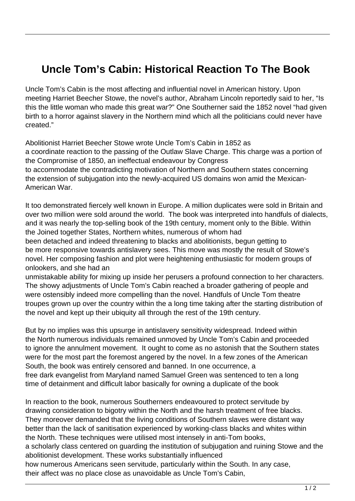## **Uncle Tom's Cabin: Historical Reaction To The Book**

Uncle Tom's Cabin is the most affecting and influential novel in American history. Upon meeting Harriet Beecher Stowe, the novel's author, Abraham Lincoln reportedly said to her, "Is this the little woman who made this great war?" One Southerner said the 1852 novel "had given birth to a horror against slavery in the Northern mind which all the politicians could never have created."

Abolitionist Harriet Beecher Stowe wrote Uncle Tom's Cabin in 1852 as a coordinate reaction to the passing of the Outlaw Slave Charge. This charge was a portion of the Compromise of 1850, an ineffectual endeavour by Congress to accommodate the contradicting motivation of Northern and Southern states concerning the extension of subjugation into the newly-acquired US domains won amid the Mexican-American War.

It too demonstrated fiercely well known in Europe. A million duplicates were sold in Britain and over two million were sold around the world. The book was interpreted into handfuls of dialects, and it was nearly the top-selling book of the 19th century, moment only to the Bible. Within the Joined together States, Northern whites, numerous of whom had been detached and indeed threatening to blacks and abolitionists, begun getting to be more responsive towards antislavery sees. This move was mostly the result of Stowe's novel. Her composing fashion and plot were heightening enthusiastic for modern groups of onlookers, and she had an

unmistakable ability for mixing up inside her perusers a profound connection to her characters. The showy adjustments of Uncle Tom's Cabin reached a broader gathering of people and were ostensibly indeed more compelling than the novel. Handfuls of Uncle Tom theatre troupes grown up over the country within the a long time taking after the starting distribution of the novel and kept up their ubiquity all through the rest of the 19th century.

But by no implies was this upsurge in antislavery sensitivity widespread. Indeed within the North numerous individuals remained unmoved by Uncle Tom's Cabin and proceeded to ignore the annulment movement. It ought to come as no astonish that the Southern states were for the most part the foremost angered by the novel. In a few zones of the American South, the book was entirely censored and banned. In one occurrence, a free dark evangelist from Maryland named Samuel Green was sentenced to ten a long time of detainment and difficult labor basically for owning a duplicate of the book

In reaction to the book, numerous Southerners endeavoured to protect servitude by drawing consideration to bigotry within the North and the harsh treatment of free blacks. They moreover demanded that the living conditions of Southern slaves were distant way better than the lack of sanitisation experienced by working-class blacks and whites within the North. These techniques were utilised most intensely in anti-Tom books, a scholarly class centered on guarding the institution of subjugation and ruining Stowe and the abolitionist development. These works substantially influenced how numerous Americans seen servitude, particularly within the South. In any case, their affect was no place close as unavoidable as Uncle Tom's Cabin,